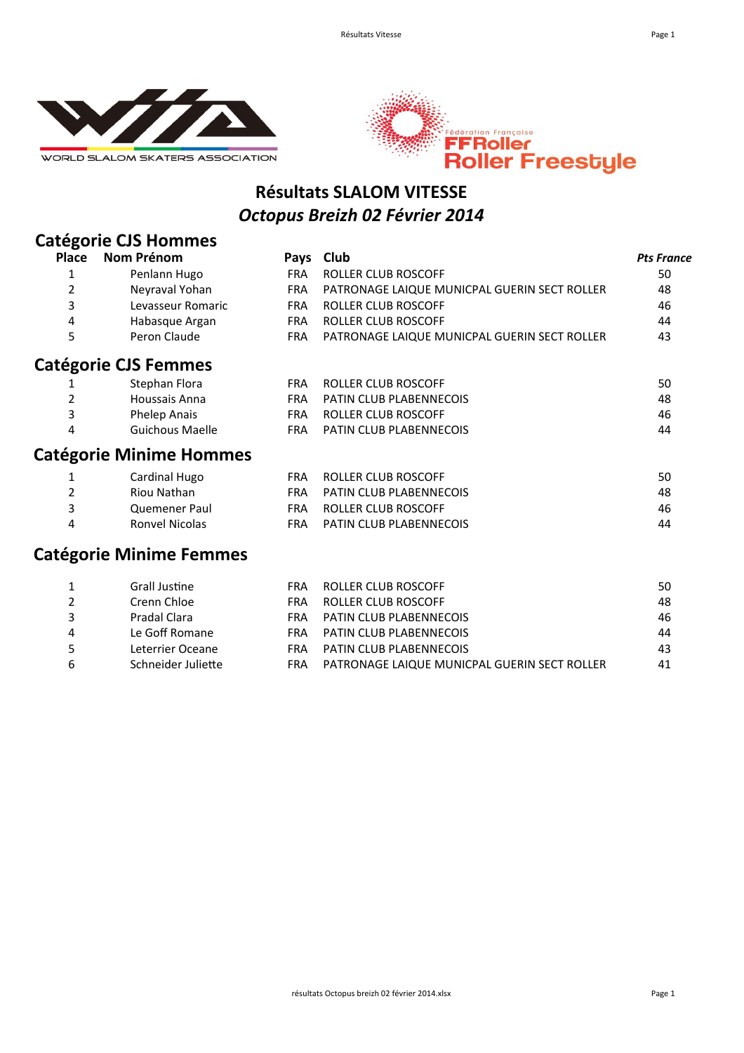



#### **Résultats SLALOM VITESSE** *Octopus Breizh 02 Février 2014*

## **Catégorie CJS Hommes**

| <b>Place</b> | Nom Prénom                     | Pays       | Club                                         | <b>Pts France</b> |
|--------------|--------------------------------|------------|----------------------------------------------|-------------------|
| 1            | Penlann Hugo                   | <b>FRA</b> | <b>ROLLER CLUB ROSCOFF</b>                   | 50                |
| 2            | Neyraval Yohan                 | <b>FRA</b> | PATRONAGE LAIQUE MUNICPAL GUERIN SECT ROLLER | 48                |
| 3            | Levasseur Romaric              | <b>FRA</b> | <b>ROLLER CLUB ROSCOFF</b>                   | 46                |
| 4            | Habasque Argan                 | <b>FRA</b> | ROLLER CLUB ROSCOFF                          | 44                |
| 5            | Peron Claude                   | <b>FRA</b> | PATRONAGE LAIQUE MUNICPAL GUERIN SECT ROLLER | 43                |
|              | <b>Catégorie CJS Femmes</b>    |            |                                              |                   |
|              | Stephan Flora                  | <b>FRA</b> | ROLLER CLUB ROSCOFF                          | 50                |
| 2            | Houssais Anna                  | FRA.       | <b>PATIN CLUB PLABENNECOIS</b>               | 48                |
| 3            | Phelep Anais                   | <b>FRA</b> | ROLLER CLUB ROSCOFF                          | 46                |
| 4            | Guichous Maelle                | <b>FRA</b> | <b>PATIN CLUB PLABENNECOIS</b>               | 44                |
|              | <b>Catégorie Minime Hommes</b> |            |                                              |                   |
|              | Cardinal Hugo                  | <b>FRA</b> | ROLLER CLUB ROSCOFF                          | 50                |
| 2            | Riou Nathan                    | <b>FRA</b> | <b>PATIN CLUB PLABENNECOIS</b>               | 48                |
| 3            | Quemener Paul                  | <b>FRA</b> | <b>ROLLER CLUB ROSCOFF</b>                   | 46                |
| 4            | <b>Ronvel Nicolas</b>          | <b>FRA</b> | <b>PATIN CLUB PLABENNECOIS</b>               | 44                |

#### **Catégorie Minime Femmes**

|   | Grall Justine      | FRA | ROLLER CLUB ROSCOFF                          | 50 |
|---|--------------------|-----|----------------------------------------------|----|
|   | Crenn Chloe        | FRA | ROLLER CLUB ROSCOFF                          | 48 |
|   | Pradal Clara       | FRA | PATIN CLUB PLABENNECOIS                      | 46 |
| 4 | Le Goff Romane     | FRA | PATIN CLUB PLABENNECOIS                      | 44 |
| 5 | Leterrier Oceane   | FRA | PATIN CLUB PLABENNECOIS                      | 43 |
| 6 | Schneider Juliette | FRA | PATRONAGE LAIQUE MUNICPAL GUERIN SECT ROLLER | 41 |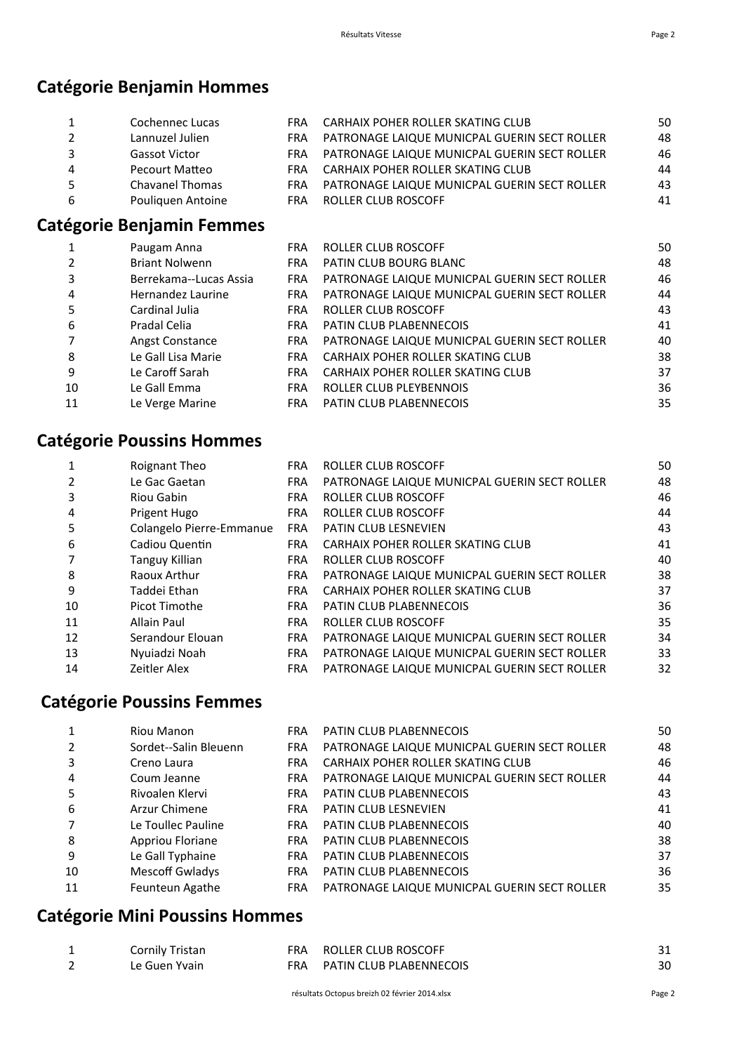#### **Catégorie Benjamin Hommes**

|   | Cochennec Lucas        | <b>FRA</b> | CARHAIX POHER ROLLER SKATING CLUB            | 50 |
|---|------------------------|------------|----------------------------------------------|----|
|   | Lannuzel Julien        | FRA        | PATRONAGE LAIQUE MUNICPAL GUERIN SECT ROLLER | 48 |
| 3 | <b>Gassot Victor</b>   | FRA        | PATRONAGE LAIQUE MUNICPAL GUERIN SECT ROLLER | 46 |
| 4 | Pecourt Matteo         | <b>FRA</b> | CARHAIX POHER ROLLER SKATING CLUB            | 44 |
| 5 | <b>Chavanel Thomas</b> | <b>FRA</b> | PATRONAGE LAIQUE MUNICPAL GUERIN SECT ROLLER | 43 |
| 6 | Pouliquen Antoine      | <b>FRA</b> | ROLLER CLUB ROSCOFF                          | 41 |
|   |                        |            |                                              |    |

#### **Catégorie Benjamin Femmes**

| 1              | Paugam Anna            | <b>FRA</b> | ROLLER CLUB ROSCOFF                          | 50 |
|----------------|------------------------|------------|----------------------------------------------|----|
| $\overline{2}$ | <b>Briant Nolwenn</b>  | <b>FRA</b> | PATIN CLUB BOURG BLANC                       | 48 |
| 3              | Berrekama--Lucas Assia | <b>FRA</b> | PATRONAGE LAIQUE MUNICPAL GUERIN SECT ROLLER | 46 |
| 4              | Hernandez Laurine      | <b>FRA</b> | PATRONAGE LAIQUE MUNICPAL GUERIN SECT ROLLER | 44 |
| 5              | Cardinal Julia         | <b>FRA</b> | ROLLER CLUB ROSCOFF                          | 43 |
| 6              | Pradal Celia           | <b>FRA</b> | <b>PATIN CLUB PLABENNECOIS</b>               | 41 |
| 7              | Angst Constance        | <b>FRA</b> | PATRONAGE LAIQUE MUNICPAL GUERIN SECT ROLLER | 40 |
| 8              | Le Gall Lisa Marie     | <b>FRA</b> | CARHAIX POHER ROLLER SKATING CLUB            | 38 |
| q              | Le Caroff Sarah        | <b>FRA</b> | CARHAIX POHER ROLLER SKATING CLUB            | 37 |
| 10             | Le Gall Emma           | <b>FRA</b> | ROLLER CLUB PLEYBENNOIS                      | 36 |
| 11             | Le Verge Marine        | <b>FRA</b> | <b>PATIN CLUB PLABENNECOIS</b>               | 35 |

## **Catégorie Poussins Hommes**

| 1  | Roignant Theo            | <b>FRA</b> | ROLLER CLUB ROSCOFF                          | 50 |
|----|--------------------------|------------|----------------------------------------------|----|
|    | Le Gac Gaetan            | <b>FRA</b> | PATRONAGE LAIQUE MUNICPAL GUERIN SECT ROLLER | 48 |
| 3  | Riou Gabin               | <b>FRA</b> | ROLLER CLUB ROSCOFF                          | 46 |
| 4  | Prigent Hugo             | <b>FRA</b> | <b>ROLLER CLUB ROSCOFF</b>                   | 44 |
| 5  | Colangelo Pierre-Emmanue | <b>FRA</b> | <b>PATIN CLUB LESNEVIEN</b>                  | 43 |
| 6  | Cadiou Quentin           | <b>FRA</b> | CARHAIX POHER ROLLER SKATING CLUB            | 41 |
|    | <b>Tanguy Killian</b>    | <b>FRA</b> | <b>ROLLER CLUB ROSCOFF</b>                   | 40 |
| 8  | Raoux Arthur             | <b>FRA</b> | PATRONAGE LAIQUE MUNICPAL GUERIN SECT ROLLER | 38 |
| 9  | Taddei Ethan             | <b>FRA</b> | CARHAIX POHER ROLLER SKATING CLUB            | 37 |
| 10 | Picot Timothe            | <b>FRA</b> | PATIN CLUB PLABENNECOIS                      | 36 |
| 11 | Allain Paul              | <b>FRA</b> | <b>ROLLER CLUB ROSCOFF</b>                   | 35 |
| 12 | Serandour Elouan         | <b>FRA</b> | PATRONAGE LAIQUE MUNICPAL GUERIN SECT ROLLER | 34 |
| 13 | Nyuiadzi Noah            | <b>FRA</b> | PATRONAGE LAIQUE MUNICPAL GUERIN SECT ROLLER | 33 |
| 14 | Zeitler Alex             | <b>FRA</b> | PATRONAGE LAIQUE MUNICPAL GUERIN SECT ROLLER | 32 |
|    |                          |            |                                              |    |

#### **Catégorie Poussins Femmes**

|    | Riou Manon             | FRA.       | PATIN CLUB PLABENNECOIS                      | 50 |
|----|------------------------|------------|----------------------------------------------|----|
|    | Sordet--Salin Bleuenn  | <b>FRA</b> | PATRONAGE LAIQUE MUNICPAL GUERIN SECT ROLLER | 48 |
| 3  | Creno Laura            | <b>FRA</b> | CARHAIX POHER ROLLER SKATING CLUB            | 46 |
| 4  | Coum Jeanne            | <b>FRA</b> | PATRONAGE LAIQUE MUNICPAL GUERIN SECT ROLLER | 44 |
| 5  | Rivoalen Klervi        | <b>FRA</b> | <b>PATIN CLUB PLABENNECOIS</b>               | 43 |
| 6  | Arzur Chimene          | <b>FRA</b> | <b>PATIN CLUB LESNEVIEN</b>                  | 41 |
|    | Le Toullec Pauline     | <b>FRA</b> | PATIN CLUB PLABENNECOIS                      | 40 |
| 8  | Appriou Floriane       | <b>FRA</b> | PATIN CLUB PLABENNECOIS                      | 38 |
| 9  | Le Gall Typhaine       | <b>FRA</b> | <b>PATIN CLUB PLABENNECOIS</b>               | 37 |
| 10 | <b>Mescoff Gwladys</b> | <b>FRA</b> | <b>PATIN CLUB PLABENNECOIS</b>               | 36 |
| 11 | Feunteun Agathe        | <b>FRA</b> | PATRONAGE LAIQUE MUNICPAL GUERIN SECT ROLLER | 35 |
|    |                        |            |                                              |    |

# **Catégorie Mini Poussins Hommes**

| Cornily Tristan | FRA ROLLER CLUB ROSCOFF     |    |
|-----------------|-----------------------------|----|
| Le Guen Yvain   | FRA PATIN CLUB PLABENNECOIS | 30 |